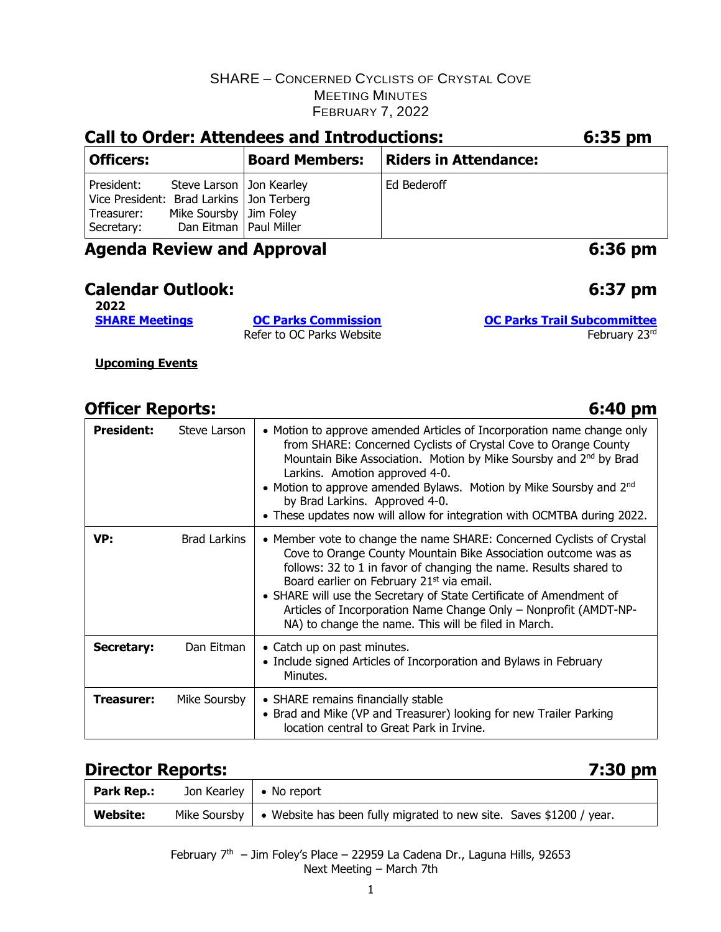| <b>Call to Order: Attendees and Introductions:</b>                                   | 6:35 pm                                                                            |                       |                              |  |
|--------------------------------------------------------------------------------------|------------------------------------------------------------------------------------|-----------------------|------------------------------|--|
| <b>Officers:</b>                                                                     |                                                                                    | <b>Board Members:</b> | <b>Riders in Attendance:</b> |  |
| President:<br>Vice President: Brad Larkins   Jon Terberg<br>Treasurer:<br>Secretary: | Steve Larson   Jon Kearley<br>Mike Soursby   Jim Foley<br>Dan Eitman   Paul Miller |                       | Ed Bederoff                  |  |
| <b>Agenda Review and Approval</b>                                                    | 6:36 pm                                                                            |                       |                              |  |

#### **Calendar Outlook: 6:37 pm**

**2022**

Refer to OC Parks Website February 23rd

**[SHARE Meetings](https://sharemtb.com/) [OC Parks Commission](https://www.ocparks.com/about/commission/agenda) [OC Parks Trail Subcommittee](https://www.ocparks.com/parks/trails/meetings)**

**Upcoming Events**

# **Officer Reports: 6:40 pm**

**President:** Steve Larson  $\vert \cdot \vert$  Motion to approve amended Articles of Incorporation name change only from SHARE: Concerned Cyclists of Crystal Cove to Orange County Mountain Bike Association. Motion by Mike Soursby and 2nd by Brad Larkins. Amotion approved 4-0. • Motion to approve amended Bylaws. Motion by Mike Soursby and 2<sup>nd</sup> by Brad Larkins. Approved 4-0. • These updates now will allow for integration with OCMTBA during 2022. **VP:** Brad Larkins  $\vert \cdot \vert$  Member vote to change the name SHARE: Concerned Cyclists of Crystal Cove to Orange County Mountain Bike Association outcome was as follows: 32 to 1 in favor of changing the name. Results shared to Board earlier on February 21<sup>st</sup> via email. • SHARE will use the Secretary of State Certificate of Amendment of Articles of Incorporation Name Change Only – Nonprofit (AMDT-NP-NA) to change the name. This will be filed in March. **Secretary:** Dan Eitman | • Catch up on past minutes. • Include signed Articles of Incorporation and Bylaws in February Minutes. **Treasurer:** Mike Soursby  $\cdot$  SHARE remains financially stable • Brad and Mike (VP and Treasurer) looking for new Trailer Parking location central to Great Park in Irvine.

### **Director Reports:**

| Park Rep.:      | Jon Kearley $\vert \cdot \vert$ No report                                                          |
|-----------------|----------------------------------------------------------------------------------------------------|
| <b>Website:</b> | Mike Soursby $\vert \cdot \vert$ Website has been fully migrated to new site. Saves \$1200 / year. |

February  $7<sup>th</sup>$  – Jim Foley's Place – 22959 La Cadena Dr., Laguna Hills, 92653 Next Meeting – March 7th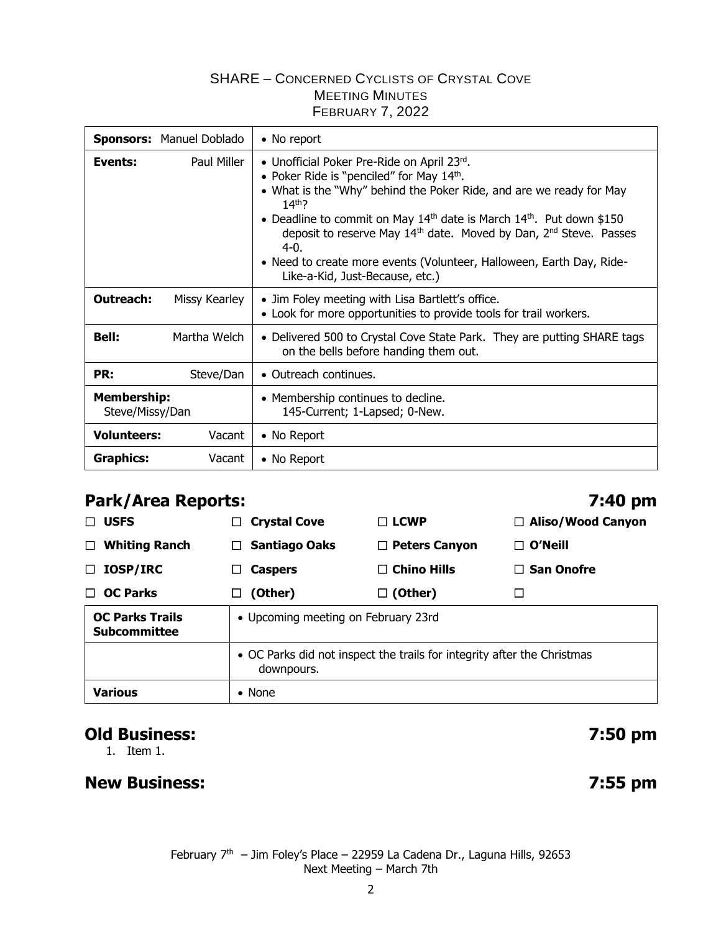| Sponsors: Manuel Doblado              |               | • No report                                                                                                                                                                                                                                                                                                                                                                                                                                                             |  |
|---------------------------------------|---------------|-------------------------------------------------------------------------------------------------------------------------------------------------------------------------------------------------------------------------------------------------------------------------------------------------------------------------------------------------------------------------------------------------------------------------------------------------------------------------|--|
| Events:                               | Paul Miller   | • Unofficial Poker Pre-Ride on April 23rd.<br>• Poker Ride is "penciled" for May 14th.<br>• What is the "Why" behind the Poker Ride, and are we ready for May<br>$14th$ ?<br>• Deadline to commit on May $14th$ date is March $14th$ . Put down \$150<br>deposit to reserve May 14 <sup>th</sup> date. Moved by Dan, 2 <sup>nd</sup> Steve. Passes<br>$4-0.$<br>• Need to create more events (Volunteer, Halloween, Earth Day, Ride-<br>Like-a-Kid, Just-Because, etc.) |  |
| Outreach:                             | Missy Kearley | • Jim Foley meeting with Lisa Bartlett's office.<br>• Look for more opportunities to provide tools for trail workers.                                                                                                                                                                                                                                                                                                                                                   |  |
| <b>Bell:</b>                          | Martha Welch  | • Delivered 500 to Crystal Cove State Park. They are putting SHARE tags<br>on the bells before handing them out.                                                                                                                                                                                                                                                                                                                                                        |  |
| PR:                                   | Steve/Dan     | • Outreach continues.                                                                                                                                                                                                                                                                                                                                                                                                                                                   |  |
| <b>Membership:</b><br>Steve/Missy/Dan |               | • Membership continues to decline.<br>145-Current; 1-Lapsed; 0-New.                                                                                                                                                                                                                                                                                                                                                                                                     |  |
| <b>Volunteers:</b>                    | Vacant        | • No Report                                                                                                                                                                                                                                                                                                                                                                                                                                                             |  |
| Graphics:                             | Vacant        | • No Report                                                                                                                                                                                                                                                                                                                                                                                                                                                             |  |

### **Park/Area Reports: 7:40 pm**

| $\Box$ USFS                                   | <b>Crystal Cove</b>                                                                   | $\Box$ LCWP          | $\Box$ Aliso/Wood Canyon |  |
|-----------------------------------------------|---------------------------------------------------------------------------------------|----------------------|--------------------------|--|
| <b>Whiting Ranch</b><br>$\Box$                | <b>Santiago Oaks</b><br>$\Box$                                                        | $\Box$ Peters Canyon | $\Box$ O'Neill           |  |
| <b>IOSP/IRC</b><br>□                          | <b>Caspers</b>                                                                        | $\Box$ Chino Hills   | $\Box$ San Onofre        |  |
| <b>OC Parks</b><br>п                          | (Other)<br>$\Box$                                                                     | $\Box$ (Other)       |                          |  |
| <b>OC Parks Trails</b><br><b>Subcommittee</b> | • Upcoming meeting on February 23rd                                                   |                      |                          |  |
|                                               | • OC Parks did not inspect the trails for integrity after the Christmas<br>downpours. |                      |                          |  |
| <b>Various</b>                                | $\bullet$ None                                                                        |                      |                          |  |

# **Old Business: 7:50 pm**

1. Item 1.

### **New Business: 7:55 pm**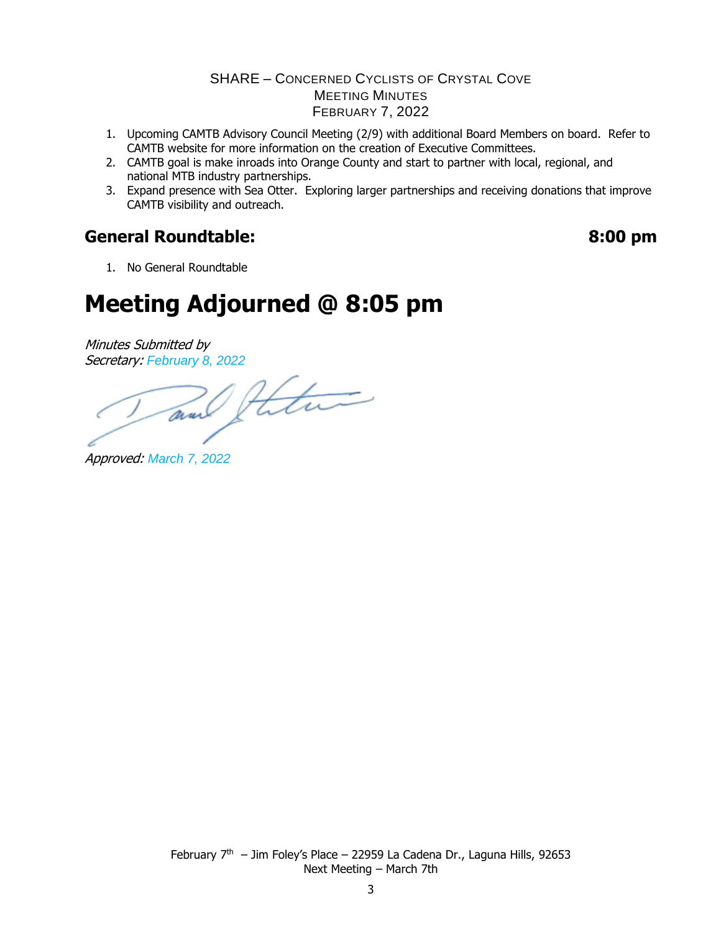- 1. Upcoming CAMTB Advisory Council Meeting (2/9) with additional Board Members on board. Refer to CAMTB website for more information on the creation of Executive Committees.
- 2. CAMTB goal is make inroads into Orange County and start to partner with local, regional, and national MTB industry partnerships.
- 3. Expand presence with Sea Otter. Exploring larger partnerships and receiving donations that improve CAMTB visibility and outreach.

### **General Roundtable: 8:00 pm**

1. No General Roundtable

# **Meeting Adjourned @ 8:05 pm**

Minutes Submitted by

Secretary: February 8, 2022<br>and future

Approved: *March 7, 2022*